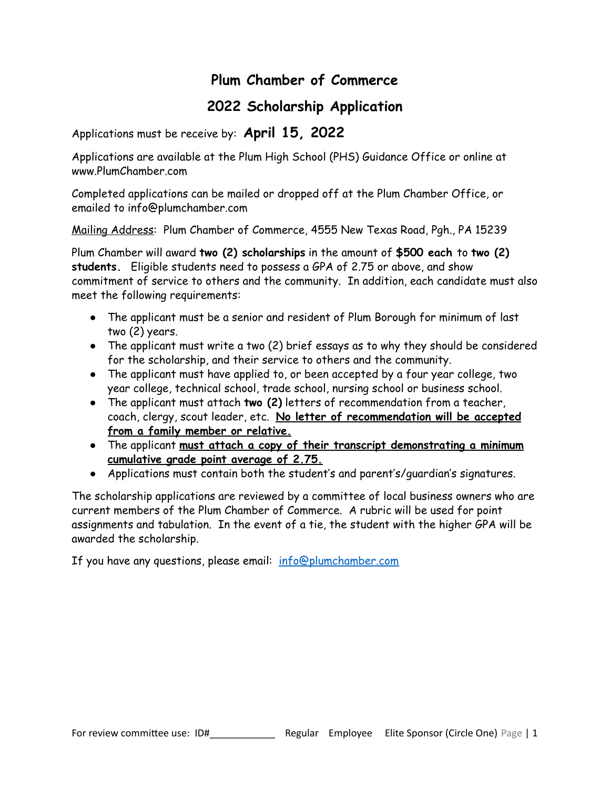## **Plum Chamber of Commerce**

## **2022 Scholarship Application**

Applications must be receive by: **April 15, 2022**

Applications are available at the Plum High School (PHS) Guidance Office or online at www.PlumChamber.com

Completed applications can be mailed or dropped off at the Plum Chamber Office, or emailed to info@plumchamber.com

Mailing Address: Plum Chamber of Commerce, 4555 New Texas Road, Pgh., PA 15239

Plum Chamber will award **two (2) scholarships** in the amount of **\$500 each** to **two (2) students.** Eligible students need to possess a GPA of 2.75 or above, and show commitment of service to others and the community. In addition, each candidate must also meet the following requirements:

- The applicant must be a senior and resident of Plum Borough for minimum of last two (2) years.
- The applicant must write a two (2) brief essays as to why they should be considered for the scholarship, and their service to others and the community.
- The applicant must have applied to, or been accepted by a four year college, two year college, technical school, trade school, nursing school or business school.
- The applicant must attach **two (2)** letters of recommendation from a teacher, coach, clergy, scout leader, etc. **No letter of recommendation will be accepted from a family member or relative.**
- The applicant **must attach a copy of their transcript demonstrating a minimum cumulative grade point average of 2.75.**
- Applications must contain both the student's and parent's/guardian's signatures.

The scholarship applications are reviewed by a committee of local business owners who are current members of the Plum Chamber of Commerce. A rubric will be used for point assignments and tabulation. In the event of a tie, the student with the higher GPA will be awarded the scholarship.

If you have any questions, please email: [info@plumchamber.com](mailto:info@plumchamber.com)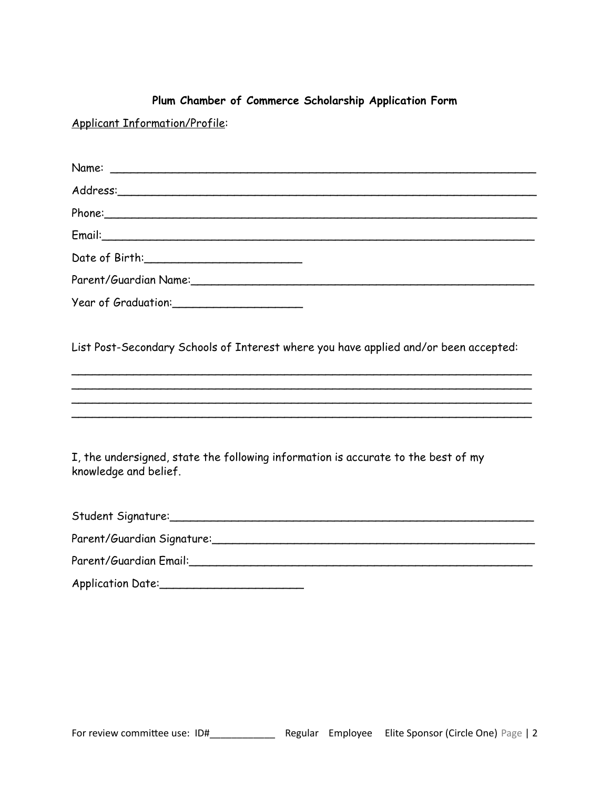## **Plum Chamber of Commerce Scholarship Application Form**

Applicant Information/Profile:

| Name:                                                                                                      |
|------------------------------------------------------------------------------------------------------------|
|                                                                                                            |
|                                                                                                            |
|                                                                                                            |
|                                                                                                            |
|                                                                                                            |
|                                                                                                            |
| List Post-Secondary Schools of Interest where you have applied and/or been accepted:                       |
|                                                                                                            |
| I, the undersigned, state the following information is accurate to the best of my<br>knowledge and belief. |
|                                                                                                            |
|                                                                                                            |
|                                                                                                            |
|                                                                                                            |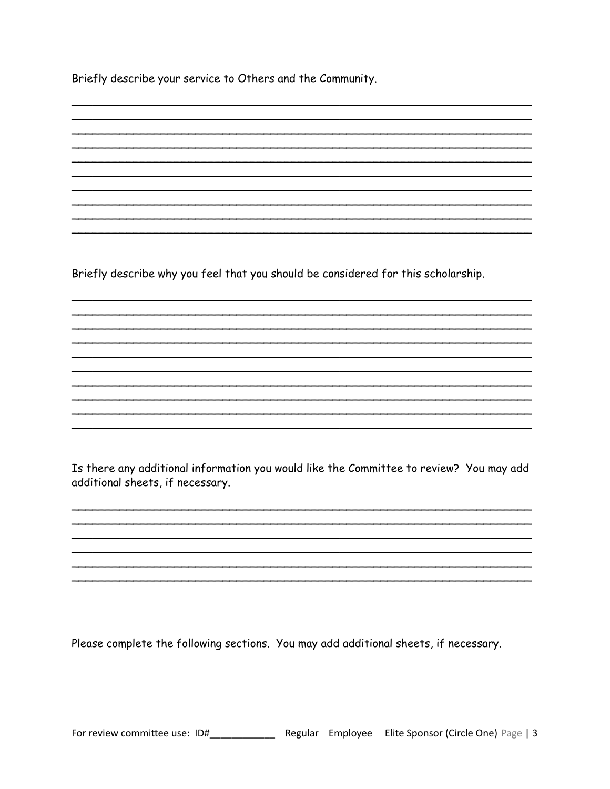Briefly describe your service to Others and the Community.

Briefly describe why you feel that you should be considered for this scholarship.

Is there any additional information you would like the Committee to review? You may add additional sheets, if necessary.

Please complete the following sections. You may add additional sheets, if necessary.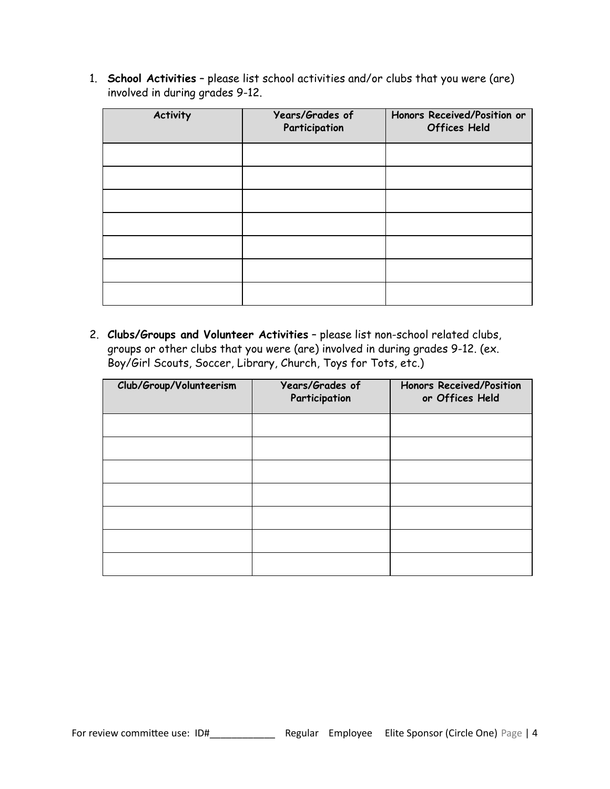1. **School Activities** – please list school activities and/or clubs that you were (are) involved in during grades 9-12.

| <b>Activity</b> | Years/Grades of<br>Participation | Honors Received/Position or<br><b>Offices Held</b> |
|-----------------|----------------------------------|----------------------------------------------------|
|                 |                                  |                                                    |
|                 |                                  |                                                    |
|                 |                                  |                                                    |
|                 |                                  |                                                    |
|                 |                                  |                                                    |
|                 |                                  |                                                    |
|                 |                                  |                                                    |

2. **Clubs/Groups and Volunteer Activities** – please list non-school related clubs, groups or other clubs that you were (are) involved in during grades 9-12. (ex. Boy/Girl Scouts, Soccer, Library, Church, Toys for Tots, etc.)

| Club/Group/Volunteerism | Years/Grades of<br>Participation | <b>Honors Received/Position</b><br>or Offices Held |
|-------------------------|----------------------------------|----------------------------------------------------|
|                         |                                  |                                                    |
|                         |                                  |                                                    |
|                         |                                  |                                                    |
|                         |                                  |                                                    |
|                         |                                  |                                                    |
|                         |                                  |                                                    |
|                         |                                  |                                                    |